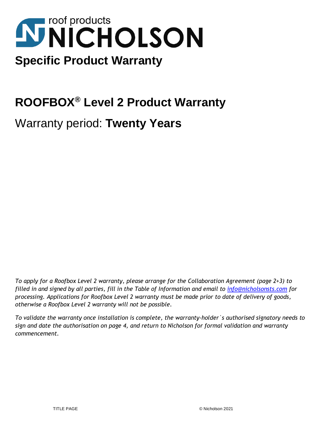# **NNICHOLSON Specific Product Warranty**

# **ROOFBOX® Level 2 Product Warranty**

Warranty period: **Twenty Years**

*To apply for a Roofbox Level 2 warranty, please arrange for the Collaboration Agreement (page 2+3) to filled in and signed by all parties, fill in the Table of Information and email to info@nicholsonsts.com for processing. Applications for Roofbox Level 2 warranty must be made prior to date of delivery of goods, otherwise a Roofbox Level 2 warranty will not be possible.*

*To validate the warranty once installation is complete, the warranty-holder`s authorised signatory needs to sign and date the authorisation on page 4, and return to Nicholson for formal validation and warranty commencement.*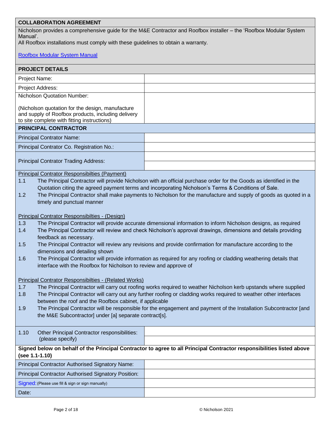# **COLLABORATION AGREEMENT**

Nicholson provides a comprehensive guide for the M&E Contractor and Roofbox installer – the 'Roofbox Modular System Manual'.

All Roofbox installations must comply with these guidelines to obtain a warranty.

# [Roofbox Modular System Manual](https://www.nicholsonsts.com/sites/default/files/files/standard/Roofbox%20Modular%20System%20Manual_Oct19_ONLINE.pdf)

| <b>PROJECT DETAILS</b>                                                                                                                                                                                                                                       |                                                                                                                    |  |  |
|--------------------------------------------------------------------------------------------------------------------------------------------------------------------------------------------------------------------------------------------------------------|--------------------------------------------------------------------------------------------------------------------|--|--|
|                                                                                                                                                                                                                                                              |                                                                                                                    |  |  |
| Project Name:                                                                                                                                                                                                                                                |                                                                                                                    |  |  |
| Project Address:                                                                                                                                                                                                                                             |                                                                                                                    |  |  |
| Nicholson Quotation Number:                                                                                                                                                                                                                                  |                                                                                                                    |  |  |
| (Nicholson quotation for the design, manufacture<br>and supply of Roofbox products, including delivery<br>to site complete with fitting instructions)                                                                                                        |                                                                                                                    |  |  |
| <b>PRINCIPAL CONTRACTOR</b>                                                                                                                                                                                                                                  |                                                                                                                    |  |  |
| <b>Principal Contrator Name:</b>                                                                                                                                                                                                                             |                                                                                                                    |  |  |
| Principal Contrator Co. Registration No.:                                                                                                                                                                                                                    |                                                                                                                    |  |  |
| <b>Principal Contrator Trading Address:</b>                                                                                                                                                                                                                  |                                                                                                                    |  |  |
| <b>Principal Contrator Responsibilties (Payment)</b>                                                                                                                                                                                                         |                                                                                                                    |  |  |
| 1.1                                                                                                                                                                                                                                                          | The Principal Contractor will provide Nicholson with an official purchase order for the Goods as identified in the |  |  |
| Quotation citing the agreed payment terms and incorporating Nicholson's Terms & Conditions of Sale.<br>The Principal Contractor shall make payments to Nicholson for the manufacture and supply of goods as quoted in a<br>1.2<br>timely and punctual manner |                                                                                                                    |  |  |
| Principal Contrator Responsibilties - (Design)                                                                                                                                                                                                               |                                                                                                                    |  |  |
| 1.3                                                                                                                                                                                                                                                          | The Principal Contractor will provide accurate dimensional information to inform Nicholson designs, as required    |  |  |
| 1.4                                                                                                                                                                                                                                                          | The Principal Contractor will review and check Nicholson's approval drawings, dimensions and details providing     |  |  |
| feedback as necessary.                                                                                                                                                                                                                                       |                                                                                                                    |  |  |
| 1.5                                                                                                                                                                                                                                                          | The Principal Contractor will review any revisions and provide confirmation for manufacture according to the       |  |  |
| dimensions and detailing shown                                                                                                                                                                                                                               |                                                                                                                    |  |  |
| The Principal Contractor will provide information as required for any roofing or cladding weathering details that<br>1.6<br>interface with the Roofbox for Nicholson to review and approve of                                                                |                                                                                                                    |  |  |
| Principal Contrator Responsibilties - (Related Works)                                                                                                                                                                                                        |                                                                                                                    |  |  |
| 1.7                                                                                                                                                                                                                                                          | The Principal Contractor will carry out roofing works required to weather Nicholson kerb upstands where supplied   |  |  |
| 1.8                                                                                                                                                                                                                                                          | The Principal Contractor will carry out any further roofing or cladding works required to weather other interfaces |  |  |
| between the roof and the Roofbox cabinet, if applicable                                                                                                                                                                                                      |                                                                                                                    |  |  |
| The Principal Contractor will be responsible for the engagement and payment of the Installation Subcontractor [and<br>1.9<br>the M&E Subcontractor] under [a] separate contract[s].                                                                          |                                                                                                                    |  |  |
|                                                                                                                                                                                                                                                              |                                                                                                                    |  |  |
| Other Principal Contractor responsibilities:<br>1.10<br>(please specify)                                                                                                                                                                                     |                                                                                                                    |  |  |
| Signed below on behalf of the Principal Contractor to agree to all Principal Contractor responsibilities listed above<br>(see 1.1-1.10)                                                                                                                      |                                                                                                                    |  |  |
| <b>Principal Contractor Authorised Signatory Name:</b>                                                                                                                                                                                                       |                                                                                                                    |  |  |
| <b>Principal Contractor Authorised Signatory Position:</b>                                                                                                                                                                                                   |                                                                                                                    |  |  |
| Signed: (Please use fill & sign or sign manually)                                                                                                                                                                                                            |                                                                                                                    |  |  |
| Date:                                                                                                                                                                                                                                                        |                                                                                                                    |  |  |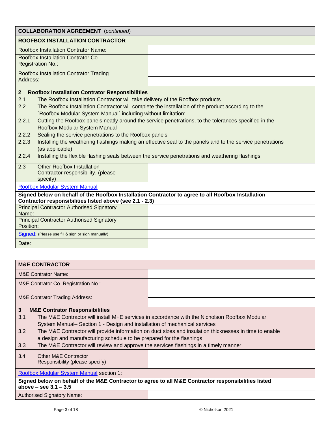| <b>COLLABORATION AGREEMENT</b> (continued)                                                                                                                                                                                                                                                                                                                                                                                                                                                                                                                                                                                                                                                                    |                                                                                                  |  |
|---------------------------------------------------------------------------------------------------------------------------------------------------------------------------------------------------------------------------------------------------------------------------------------------------------------------------------------------------------------------------------------------------------------------------------------------------------------------------------------------------------------------------------------------------------------------------------------------------------------------------------------------------------------------------------------------------------------|--------------------------------------------------------------------------------------------------|--|
| <b>ROOFBOX INSTALLATION CONTRACTOR</b>                                                                                                                                                                                                                                                                                                                                                                                                                                                                                                                                                                                                                                                                        |                                                                                                  |  |
| <b>Roofbox Installation Contrator Name:</b>                                                                                                                                                                                                                                                                                                                                                                                                                                                                                                                                                                                                                                                                   |                                                                                                  |  |
| Roofbox Installation Contrator Co.<br>Registration No.:                                                                                                                                                                                                                                                                                                                                                                                                                                                                                                                                                                                                                                                       |                                                                                                  |  |
| <b>Roofbox Installation Contrator Trading</b><br>Address:                                                                                                                                                                                                                                                                                                                                                                                                                                                                                                                                                                                                                                                     |                                                                                                  |  |
| <b>Roofbox Installation Contrator Responsibilities</b><br>$\mathbf{2}$<br>2.1<br>The Roofbox Installation Contractor will take delivery of the Roofbox products<br>The Roofbox Installation Contractor will complete the installation of the product according to the<br>2.2<br>'Roofbox Modular System Manual' including without limitation:<br>Cutting the Roofbox panels neatly around the service penetrations, to the tolerances specified in the<br>2.2.1<br>Roofbox Modular System Manual<br>2.2.2<br>Sealing the service penetrations to the Roofbox panels<br>Installing the weathering flashings making an effective seal to the panels and to the service penetrations<br>2.2.3<br>(as applicable) |                                                                                                  |  |
| 2.2.4                                                                                                                                                                                                                                                                                                                                                                                                                                                                                                                                                                                                                                                                                                         | Installing the flexible flashing seals between the service penetrations and weathering flashings |  |
| <b>Other Roofbox Installation</b><br>2.3<br>Contractor responsibility. (please<br>specify)                                                                                                                                                                                                                                                                                                                                                                                                                                                                                                                                                                                                                    |                                                                                                  |  |
| <b>Roofbox Modular System Manual</b>                                                                                                                                                                                                                                                                                                                                                                                                                                                                                                                                                                                                                                                                          |                                                                                                  |  |
| Signed below on behalf of the Roofbox Installation Contractor to agree to all Roofbox Installation<br>Contractor responsibilities listed above (see 2.1 - 2.3)                                                                                                                                                                                                                                                                                                                                                                                                                                                                                                                                                |                                                                                                  |  |
| <b>Principal Contractor Authorised Signatory</b><br>Name:                                                                                                                                                                                                                                                                                                                                                                                                                                                                                                                                                                                                                                                     |                                                                                                  |  |
| <b>Principal Contractor Authorised Signatory</b><br>Position:                                                                                                                                                                                                                                                                                                                                                                                                                                                                                                                                                                                                                                                 |                                                                                                  |  |
| Signed: (Please use fill & sign or sign manually)                                                                                                                                                                                                                                                                                                                                                                                                                                                                                                                                                                                                                                                             |                                                                                                  |  |
| Date:                                                                                                                                                                                                                                                                                                                                                                                                                                                                                                                                                                                                                                                                                                         |                                                                                                  |  |

| <b>M&amp;E CONTRACTOR</b>                                                                                                        |                                                                                                        |  |  |
|----------------------------------------------------------------------------------------------------------------------------------|--------------------------------------------------------------------------------------------------------|--|--|
| <b>M&amp;E Contrator Name:</b>                                                                                                   |                                                                                                        |  |  |
| M&E Contrator Co. Registration No.:                                                                                              |                                                                                                        |  |  |
| <b>M&amp;E Contrator Trading Address:</b>                                                                                        |                                                                                                        |  |  |
| $\mathbf{3}$<br><b>M&amp;E Contrator Responsibilities</b>                                                                        |                                                                                                        |  |  |
| 3.1                                                                                                                              | The M&E Contractor will install M+E services in accordance with the Nicholson Roofbox Modular          |  |  |
| System Manual– Section 1 - Design and installation of mechanical services                                                        |                                                                                                        |  |  |
| 3.2                                                                                                                              | The M&E Contractor will provide information on duct sizes and insulation thicknesses in time to enable |  |  |
| a design and manufacturing schedule to be prepared for the flashings                                                             |                                                                                                        |  |  |
| 3.3<br>The M&E Contractor will review and approve the services flashings in a timely manner                                      |                                                                                                        |  |  |
| 3.4<br><b>Other M&amp;E Contractor</b>                                                                                           |                                                                                                        |  |  |
| Responsibility (please specify)                                                                                                  |                                                                                                        |  |  |
|                                                                                                                                  |                                                                                                        |  |  |
| <b>Roofbox Modular System Manual section 1:</b>                                                                                  |                                                                                                        |  |  |
| Signed below on behalf of the M&E Contractor to agree to all M&E Contractor responsibilities listed<br>above $-$ see 3.1 $-$ 3.5 |                                                                                                        |  |  |
| <b>Authorised Signatory Name:</b>                                                                                                |                                                                                                        |  |  |
|                                                                                                                                  |                                                                                                        |  |  |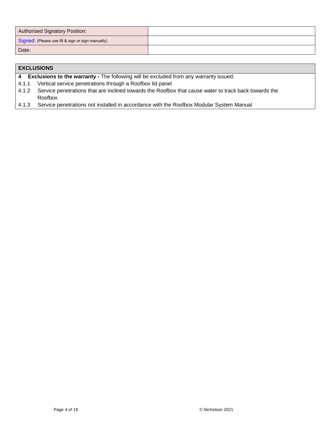| <b>Authorised Signatory Position:</b>             |  |
|---------------------------------------------------|--|
| Signed: (Please use fill & sign or sign manually) |  |
| Date:                                             |  |

|                         | <b>EXCLUSIONS</b>                                                                                     |
|-------------------------|-------------------------------------------------------------------------------------------------------|
| $\overline{\mathbf{4}}$ | <b>Exclusions to the warranty -</b> The following will be excluded from any warranty issued:          |
| 4.1.1                   | Vertical service penetrations through a Roofbox lid panel                                             |
| 4.1.2                   | Service penetrations that are inclined towards the Roofbox that cause water to track back towards the |
|                         | Roofbox                                                                                               |
| 4.1.3                   | Service penetrations not installed in accordance with the Roofbox Modular System Manual               |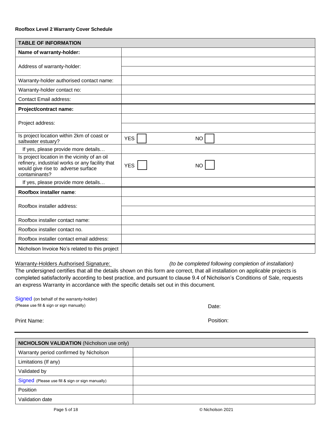| <b>TABLE OF INFORMATION</b>                                                                                                                             |                         |  |  |
|---------------------------------------------------------------------------------------------------------------------------------------------------------|-------------------------|--|--|
| Name of warranty-holder:                                                                                                                                |                         |  |  |
| Address of warranty-holder:                                                                                                                             |                         |  |  |
|                                                                                                                                                         |                         |  |  |
| Warranty-holder authorised contact name:                                                                                                                |                         |  |  |
| Warranty-holder contact no:                                                                                                                             |                         |  |  |
| <b>Contact Email address:</b>                                                                                                                           |                         |  |  |
| Project/contract name:                                                                                                                                  |                         |  |  |
|                                                                                                                                                         |                         |  |  |
| Project address:                                                                                                                                        |                         |  |  |
| Is project location within 2km of coast or<br>saltwater estuary?                                                                                        | <b>YES</b><br><b>NO</b> |  |  |
| If yes, please provide more details                                                                                                                     |                         |  |  |
| Is project location in the vicinity of an oil<br>refinery, industrial works or any facility that<br>would give rise to adverse surface<br>contaminants? | <b>YES</b><br><b>NO</b> |  |  |
| If yes, please provide more details                                                                                                                     |                         |  |  |
| Roofbox installer name:                                                                                                                                 |                         |  |  |
| Roofbox installer address:                                                                                                                              |                         |  |  |
|                                                                                                                                                         |                         |  |  |
| Roofbox installer contact name:                                                                                                                         |                         |  |  |
| Roofbox installer contact no.                                                                                                                           |                         |  |  |
| Roofbox installer contact email address:                                                                                                                |                         |  |  |
| Nicholson Invoice No's related to this project                                                                                                          |                         |  |  |

Warranty-Holders Authorised Signature: *(to be completed following completion of installation)* The undersigned certifies that all the details shown on this form are correct, that all installation on applicable projects is completed satisfactorily according to best practice, and pursuant to clause 9.4 of Nicholson's Conditions of Sale, requests an express Warranty in accordance with the specific details set out in this document.

Signed (on behalf of the warranty-holder) (Please use fill & sign or sign manually)

Print Name: Position: Print Name: Position: Position: Position: Position: Position: Position: Position: Position: Position: Position: Position: Position: Position: Position: Position: Position: Position: Position: Position

| <b>NICHOLSON VALIDATION (Nicholson use only)</b> |  |
|--------------------------------------------------|--|
| Warranty period confirmed by Nicholson           |  |
| Limitations (If any)                             |  |
| Validated by                                     |  |
| Signed (Please use fill & sign or sign manually) |  |
| Position                                         |  |
| Validation date                                  |  |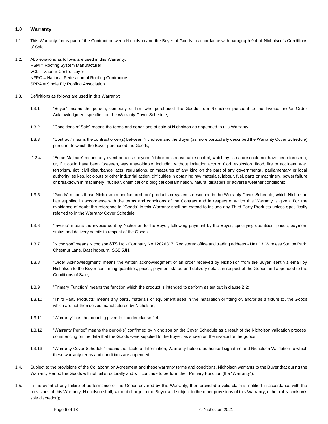# **1.0 Warranty**

- 1.1. This Warranty forms part of the Contract between Nicholson and the Buyer of Goods in accordance with paragraph 9.4 of Nicholson's Conditions of Sale.
- 1.2. Abbreviations as follows are used in this Warranty: RSM = Roofing System Manufacturer VCL = Vapour Control Layer NFRC = National Federation of Roofing Contractors SPRA = Single Ply Roofing Association
- 1.3. Definitions as follows are used in this Warranty:
	- 1.3.1 "Buyer" means the person, company or firm who purchased the Goods from Nicholson pursuant to the Invoice and/or Order Acknowledgment specified on the Warranty Cover Schedule;
	- 1.3.2 "Conditions of Sale" means the terms and conditions of sale of Nicholson as appended to this Warranty;
	- 1.3.3 "Contract" means the contract order(s) between Nicholson and the Buyer (as more particularly described the Warranty Cover Schedule) pursuant to which the Buyer purchased the Goods;
	- 1.3.4 "Force Majeure" means any event or cause beyond Nicholson's reasonable control, which by its nature could not have been foreseen, or, if it could have been foreseen, was unavoidable, including without limitation acts of God, explosion, flood, fire or accident, war, terrorism, riot, civil disturbance, acts, regulations, or measures of any kind on the part of any governmental, parliamentary or local authority, strikes, lock-outs or other industrial action, difficulties in obtaining raw materials, labour, fuel, parts or machinery, power failure or breakdown in machinery, nuclear, chemical or biological contamination, natural disasters or adverse weather conditions;
	- 1.3.5 "Goods" means those Nicholson manufactured roof products or systems described in the Warranty Cover Schedule, which Nicholson has supplied in accordance with the terms and conditions of the Contract and in respect of which this Warranty is given. For the avoidance of doubt the reference to "Goods" in this Warranty shall not extend to include any Third Party Products unless specifically referred to in the Warranty Cover Schedule;
	- 1.3.6 "Invoice" means the invoice sent by Nicholson to the Buyer, following payment by the Buyer, specifying quantities, prices, payment status and delivery details in respect of the Goods
	- 1.3.7 "Nicholson" means Nicholson STS Ltd Company No.12826317. Registered office and trading address Unit 13, Wireless Station Park, Chestnut Lane, Bassingbourn, SG8 5JH.
	- 1.3.8 "Order Acknowledgment" means the written acknowledgment of an order received by Nicholson from the Buyer, sent via email by Nicholson to the Buyer confirming quantities, prices, payment status and delivery details in respect of the Goods and appended to the Conditions of Sale;
	- 1.3.9 "Primary Function" means the function which the product is intended to perform as set out in clause 2.2;
	- 1.3.10 "Third Party Products" means any parts, materials or equipment used in the installation or fitting of, and/or as a fixture to, the Goods which are not themselves manufactured by Nicholson;
	- 1.3.11 "Warranty" has the meaning given to it under clause 1.4;
	- 1.3.12 "Warranty Period" means the period(s) confirmed by Nicholson on the Cover Schedule as a result of the Nicholson validation process, commencing on the date that the Goods were supplied to the Buyer, as shown on the invoice for the goods;
	- 1.3.13 "Warranty Cover Schedule" means the Table of Information, Warranty-holders authorised signature and Nicholson Validation to which these warranty terms and conditions are appended.
- 1.4. Subject to the provisions of the Collaboration Agreement and these warranty terms and conditions, Nicholson warrants to the Buyer that during the Warranty Period the Goods will not fail structurally and will continue to perform their Primary Function (the "Warranty").
- 1.5. In the event of any failure of performance of the Goods covered by this Warranty, then provided a valid claim is notified in accordance with the provisions of this Warranty, Nicholson shall, without charge to the Buyer and subject to the other provisions of this Warranty, either (at Nicholson's sole discretion);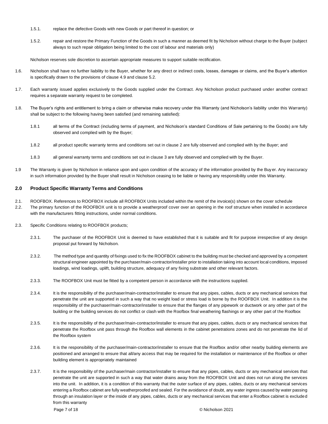- 1.5.1. replace the defective Goods with new Goods or part thereof in question; or
- 1.5.2. repair and restore the Primary Function of the Goods in such a manner as deemed fit by Nicholson without charge to the Buyer (subject always to such repair obligation being limited to the cost of labour and materials only)

Nicholson reserves sole discretion to ascertain appropriate measures to support suitable rectification.

- 1.6. Nicholson shall have no further liability to the Buyer, whether for any direct or indirect costs, losses, damages or claims, and the Buyer's attention is specifically drawn to the provisions of clause 4.9 and clause 5.2.
- 1.7. Each warranty issued applies exclusively to the Goods supplied under the Contract. Any Nicholson product purchased under another contract requires a separate warranty request to be completed.
- 1.8. The Buyer's rights and entitlement to bring a claim or otherwise make recovery under this Warranty (and Nicholson's liability under this Warranty) shall be subject to the following having been satisfied (and remaining satisfied):
	- 1.8.1 all terms of the Contract (including terms of payment, and Nicholson's standard Conditions of Sale pertaining to the Goods) are fully observed and complied with by the Buyer;
	- 1.8.2 all product specific warranty terms and conditions set out in clause 2 are fully observed and complied with by the Buyer; and
	- 1.8.3 all general warranty terms and conditions set out in clause 3 are fully observed and complied with by the Buyer.
- 1.9 The Warranty is given by Nicholson in reliance upon and upon condition of the accuracy of the information provided by the Buy er. Any inaccuracy in such information provided by the Buyer shall result in Nicholson ceasing to be liable or having any responsibility under this Warranty.

# **2.0 Product Specific Warranty Terms and Conditions**

- 2.1. ROOFBOX. References to ROOFBOX include all ROOFBOX Units included within the remit of the invoice(s) shown on the cover schedule
- 2.2. The primary function of the ROOFBOX unit is to provide a weatherproof cover over an opening in the roof structure when installed in accordance with the manufacturers fitting instructions, under normal conditions.
- 2.3. Specific Conditions relating to ROOFBOX products;
	- 2.3.1. The purchaser of the ROOFBOX Unit is deemed to have established that it is suitable and fit for purpose irrespective of any design proposal put forward by Nicholson.
	- 2.3.2. The method type and quantity of fixings used to fix the ROOFBOX cabinet to the building must be checked and approved by a competent structural engineer appointed by the purchaser/main-contractor/installer prior to installation taking into account local conditions, imposed loadings, wind loadings, uplift, building structure, adequacy of any fixing substrate and other relevant factors.
	- 2.3.3. The ROOFBOX Unit must be fitted by a competent person in accordance with the instructions supplied.
	- 2.3.4. It is the responsibility of the purchaser/main-contractor/installer to ensure that any pipes, cables, ducts or any mechanical services that penetrate the unit are supported in such a way that no weight load or stress load is borne by the ROOFBOX Unit. In addition it is the responsibility of the purchaser/main-contractor/installer to ensure that the flanges of any pipework or ductwork or any other part of the building or the building services do not conflict or clash with the Roofbox final weathering flashings or any other part of the Roofbox
	- 2.3.5. It is the responsibility of the purchaser/main-contractor/installer to ensure that any pipes, cables, ducts or any mechanical services that penetrate the Roofbox unit pass through the Roofbox wall elements in the cabinet penetrations zones and do not penetrate the lid of the Roofbox system
	- 2.3.6. It is the responsibility of the purchaser/main-contractor/installer to ensure that the Roofbox and/or other nearby building elements are positioned and arranged to ensure that all/any access that may be required for the installation or maintenance of the Roofbox or other building element is appropriately maintained
	- 2.3.7. It is the responsibility of the purchaser/main contractor/installer to ensure that any pipes, cables, ducts or any mechanical services that penetrate the unit are supported in such a way that water drains away from the ROOFBOX Unit and does not run along the services into the unit. In addition, it is a condition of this warranty that the outer surface of any pipes, cables, ducts or any mechanical services entering a Roofbox cabinet are fully weatherproofed and sealed. For the avoidance of doubt, any water ingress caused by water passing through an insulation layer or the inside of any pipes, cables, ducts or any mechanical services that enter a Roofbox cabinet is excluded from this warranty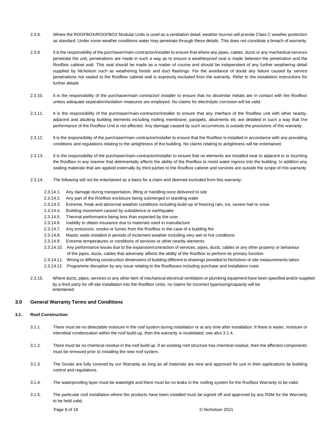- 2.3.8. Where the ROOFBOX/ROOFBOX Modular Units is used as a ventilation detail, weather louvres will provide Class C weather protection as standard. Under some weather conditions water may penetrate through these details. This does not constitute a breach of warranty.
- 2.3.9. It is the responsibility of the purchaser/main-contractor/installer to ensure that where any pipes, cables, ducts or any mechanical services penetrate the unit, penetrations are made in such a way as to ensure a weatherproof seal is made between the penetration and the Roofbox cabinet wall. This seal should be made as a matter of course and should be independent of any further weathering detail supplied by Nicholson such as weathering hoods and duct flashings. For the avoidance of doubt any failure caused by service penetrations not sealed to the Roofbox cabinet wall is expressly excluded from the warranty. Refer to the installation instructions for further details
- 2.3.10. It is the responsibility of the purchaser/main contractor/ installer to ensure that no dissimilar metals are in contact with the Roofbox unless adequate separation/isolation measures are employed. No claims for electrolytic corrosion will be valid.
- 2.3.11. It is the responsibility of the purchaser/main-contractor/installer to ensure that any interface of the Roofbox unit with other nearby, adjacent and abutting building elements including roofing membrane, parapets, abutments etc are detailed in such a way that the performance of the Roofbox Unit is not affected. Any damage caused by such occurrences is outside the provisions of this warranty.
- 2.3.12. It is the responsibility of the purchaser/main-contractor/installer to ensure that the Roofbox is installed in accordance with any prevailing conditions and regulations relating to the airtightness of the building. No claims relating to airtightness will be entertained.
- 2.3.13. It is the responsibility of the purchaser/main-contractor/installer to ensure that no elements are installed near to adjacent to or touching the Roofbox in any manner that detrimentally affects the ability of the Roofbox to resist water ingress into the building. In addition any sealing materials that are applied externally by third parties to the Roofbox cabinet and services are outside the scope of this warranty
- 2.3.14. The following will not be entertained as a basis for a claim and deemed excluded from this warranty:
	- 2.3.14.1. Any damage during transportation, lifting or handling once delivered to site
	- 2.3.14.2. Any part of the Roofbox enclosure being submerged in standing water
	- 2.3.14.3. Extreme, freak and abnormal weather conditions including build-up of freezing rain, ice, severe hail or snow
	- 2.3.14.4. Building movement caused by subsidence or earthquake
	- 2.3.14.5. Thermal performance being less than expected by the user
	- 2.3.14.6. Inability to obtain insurance due to materials used in manufacture
	- 2.3.14.7. Any emissions, smoke or fumes from the Roofbox in the case of a building fire
	- 2.3.14.8. Mastic seals installed in periods of inclement weather including very wet or hot conditions
	- 2.3.14.9. Extreme temperatures or conditions of services or other nearby elements
	- 2.3.14.10. Any performance issues due to the expansion/contraction of services, pipes, ducts, cables or any other property or behaviour of the pipes, ducts, cables that adversely affects the ability of the Roofbox to perform its primary function
	- 2.3.14.11. Wrong or differing construction dimensions of building different to drawings provided to Nicholson or site measurements taken
	- 2.3.14.12. Programme disruption by any issue relating to the Roofboxes including purchase and installation costs
- 2.3.15. Where ducts, pipes, services or any other item of mechanical electrical ventilation or plumbing equipment have been specified and/or supplied by a third party for off-site installation into the Roofbox Units, no claims for incorrect type/sizing/capacity will be entertained

# **3.0 General Warranty Terms and Conditions**

# **3.1. Roof Construction**

- 3.1.1. There must be no detectable moisture in the roof system during installation or at any time after installation. If there is water, moisture or interstitial condensation within the roof build-up, then the warranty is invalidated, see also 3.1.4.
- 3.1.2. There must be no chemical residue in the roof build up. If an existing roof structure has chemical residue, then the affected components must be removed prior to installing the new roof system.
- 3.1.3. The Goods are fully covered by our Warranty as long as all materials are new and approved for use in their applications by building control and regulations.
- 3.1.4. The waterproofing layer must be watertight and there must be no leaks in the roofing system for the Roofbox Warranty to be valid.
- 3.1.5. The particular roof installation where the products have been installed must be signed off and approved by any RSM for the Warranty to be held valid.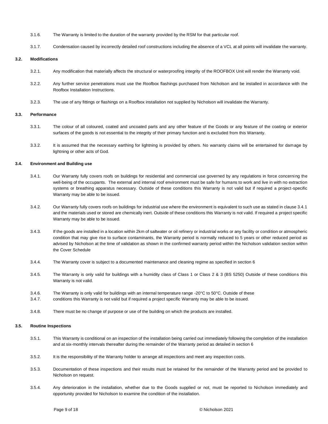- 3.1.6. The Warranty is limited to the duration of the warranty provided by the RSM for that particular roof.
- 3.1.7. Condensation caused by incorrectly detailed roof constructions including the absence of a VCL at all points will invalidate the warranty.

# **3.2. Modifications**

- 3.2.1. Any modification that materially affects the structural or waterproofing integrity of the ROOFBOX Unit will render the Warranty void.
- 3.2.2. Any further service penetrations must use the Roofbox flashings purchased from Nicholson and be installed in accordance with the Roofbox Installation Instructions.
- 3.2.3. The use of any fittings or flashings on a Roofbox installation not supplied by Nicholson will invalidate the Warranty.

# **3.3. Performance**

- 3.3.1. The colour of all coloured, coated and uncoated parts and any other feature of the Goods or any feature of the coating or exterior surfaces of the goods is not essential to the integrity of their primary function and is excluded from this Warranty.
- 3.3.2. It is assumed that the necessary earthing for lightning is provided by others. No warranty claims will be entertained for damage by lightning or other acts of God.

# **3.4. Environment and Building use**

- 3.4.1. Our Warranty fully covers roofs on buildings for residential and commercial use governed by any regulations in force concerning the well-being of the occupants. The external and internal roof environment must be safe for humans to work and live in with no extraction systems or breathing apparatus necessary. Outside of these conditions this Warranty is not valid but if required a project-specific Warranty may be able to be issued.
- 3.4.2. Our Warranty fully covers roofs on buildings for industrial use where the environment is equivalent to such use as stated in clause 3.4.1 and the materials used or stored are chemically inert. Outside of these conditions this Warranty is not valid. If required a project specific Warranty may be able to be issued.
- 3.4.3. If the goods are installed in a location within 2km of saltwater or oil refinery or industrial works or any facility or condition or atmospheric condition that may give rise to surface contaminants, the Warranty period is normally reduced to 5 years or other reduced period as advised by Nicholson at the time of validation as shown in the confirmed warranty period within the Nicholson validation section within the Cover Schedule
- 3.4.4. The Warranty cover is subject to a documented maintenance and cleaning regime as specified in section 6
- 3.4.5. The Warranty is only valid for buildings with a humidity class of Class 1 or Class 2 & 3 (BS 5250) Outside of these conditions this Warranty is not valid.
- 3.4.6. The Warranty is only valid for buildings with an internal temperature range -20°C to 50°C. Outside of these
- 3.4.7. conditions this Warranty is not valid but if required a project specific Warranty may be able to be issued.
- 3.4.8. There must be no change of purpose or use of the building on which the products are installed.

# **3.5. Routine Inspections**

- 3.5.1. This Warranty is conditional on an inspection of the installation being carried out immediately following the completion of the installation and at six-monthly intervals thereafter during the remainder of the Warranty period as detailed in section 6
- 3.5.2. It is the responsibility of the Warranty holder to arrange all inspections and meet any inspection costs.
- 3.5.3. Documentation of these inspections and their results must be retained for the remainder of the Warranty period and be provided to Nicholson on request.
- 3.5.4. Any deterioration in the installation, whether due to the Goods supplied or not, must be reported to Nicholson immediately and opportunity provided for Nicholson to examine the condition of the installation.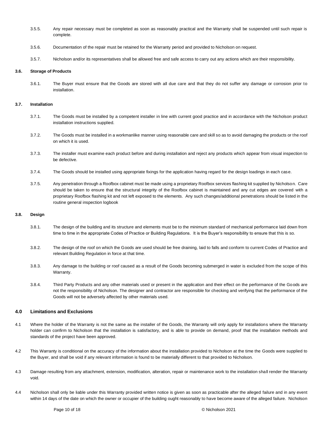- 3.5.5. Any repair necessary must be completed as soon as reasonably practical and the Warranty shall be suspended until such repair is complete.
- 3.5.6. Documentation of the repair must be retained for the Warranty period and provided to Nicholson on request.
- 3.5.7. Nicholson and/or its representatives shall be allowed free and safe access to carry out any actions which are their responsibility.

# **3.6. Storage of Products**

3.6.1. The Buyer must ensure that the Goods are stored with all due care and that they do not suffer any damage or corrosion prior to installation.

# **3.7. Installation**

- 3.7.1. The Goods must be installed by a competent installer in line with current good practice and in accordance with the Nicholson product installation instructions supplied.
- 3.7.2. The Goods must be installed in a workmanlike manner using reasonable care and skill so as to avoid damaging the products or the roof on which it is used.
- 3.7.3. The installer must examine each product before and during installation and reject any products which appear from visual inspection to be defective.
- 3.7.4. The Goods should be installed using appropriate fixings for the application having regard for the design loadings in each case.
- 3.7.5. Any penetration through a Roofbox cabinet must be made using a proprietary Roofbox services flashing kit supplied by Nicholson. Care should be taken to ensure that the structural integrity of the Roofbox cabinet is maintained and any cut edges are covered with a proprietary Roofbox flashing kit and not left exposed to the elements. Any such changes/additional penetrations should be listed in the routine general inspection logbook

# **3.8. Design**

- 3.8.1. The design of the building and its structure and elements must be to the minimum standard of mechanical performance laid down from time to time in the appropriate Codes of Practice or Building Regulations. It is the Buyer's responsibility to ensure that this is so.
- 3.8.2. The design of the roof on which the Goods are used should be free draining, laid to falls and conform to current Codes of Practice and relevant Building Regulation in force at that time.
- 3.8.3. Any damage to the building or roof caused as a result of the Goods becoming submerged in water is excluded from the scope of this Warranty.
- 3.8.4. Third Party Products and any other materials used or present in the application and their effect on the performance of the Goods are not the responsibility of Nicholson. The designer and contractor are responsible for checking and verifying that the performance of the Goods will not be adversely affected by other materials used.

# **4.0 Limitations and Exclusions**

- 4.1 Where the holder of the Warranty is not the same as the installer of the Goods, the Warranty will only apply for installations where the Warranty holder can confirm to Nicholson that the installation is satisfactory, and is able to provide on demand, proof that the installation methods and standards of the project have been approved.
- 4.2 This Warranty is conditional on the accuracy of the information about the installation provided to Nicholson at the time the Goods were supplied to the Buyer, and shall be void if any relevant information is found to be materially different to that provided to Nicholson.
- 4.3 Damage resulting from any attachment, extension, modification, alteration, repair or maintenance work to the installation shall render the Warranty void.
- 4.4 Nicholson shall only be liable under this Warranty provided written notice is given as soon as practicable after the alleged failure and in any event within 14 days of the date on which the owner or occupier of the building ought reasonably to have become aware of the alleged failure. Nicholson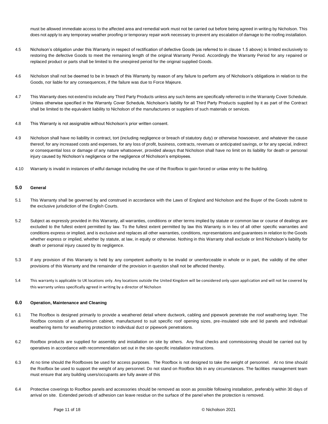must be allowed immediate access to the affected area and remedial work must not be carried out before being agreed in writing by Nicholson. This does not apply to any temporary weather proofing or temporary repair work necessary to prevent any escalation of damage to the roofing installation.

- 4.5 Nicholson's obligation under this Warranty in respect of rectification of defective Goods (as referred to in clause 1.5 above) is limited exclusively to restoring the defective Goods to meet the remaining length of the original Warranty Period. Accordingly the Warranty Period for any repaired or replaced product or parts shall be limited to the unexpired period for the original supplied Goods.
- 4.6 Nicholson shall not be deemed to be in breach of this Warranty by reason of any failure to perform any of Nicholson's obligations in relation to the Goods, nor liable for any consequences, if the failure was due to Force Majeure.
- 4.7 This Warranty does not extend to include any Third Party Products unless any such items are specifically referred to in the Warranty Cover Schedule. Unless otherwise specified in the Warranty Cover Schedule, Nicholson's liability for all Third Party Products supplied by it as part of the Contract shall be limited to the equivalent liability to Nicholson of the manufacturers or suppliers of such materials or services.
- 4.8 This Warranty is not assignable without Nicholson's prior written consent.
- 4.9 Nicholson shall have no liability in contract, tort (including negligence or breach of statutory duty) or otherwise howsoever, and whatever the cause thereof, for any increased costs and expenses, for any loss of profit, business, contracts, revenues or anticipated savings, or for any special, indirect or consequential loss or damage of any nature whatsoever, provided always that Nicholson shall have no limit on its liability for death or personal injury caused by Nicholson's negligence or the negligence of Nicholson's employees.
- 4.10 Warranty is invalid in instances of wilful damage including the use of the Roofbox to gain forced or unlaw entry to the building.

# **5.0 General**

- 5.1 This Warranty shall be governed by and construed in accordance with the Laws of England and Nicholson and the Buyer of the Goods submit to the exclusive jurisdiction of the English Courts.
- 5.2 Subject as expressly provided in this Warranty, all warranties, conditions or other terms implied by statute or common law or course of dealings are excluded to the fullest extent permitted by law. To the fullest extent permitted by law this Warranty is in lieu of all other specific warranties and conditions express or implied, and is exclusive and replaces all other warranties, conditions, representations and guarantees in relation to the Goods whether express or implied, whether by statute, at law, in equity or otherwise. Nothing in this Warranty shall exclude or limit Nicholson's liability for death or personal injury caused by its negligence.
- 5.3 If any provision of this Warranty is held by any competent authority to be invalid or unenforceable in whole or in part, the validity of the other provisions of this Warranty and the remainder of the provision in question shall not be affected thereby.
- 5.4 This warranty is applicable to UK locations only. Any locations outside the United Kingdom will be considered only upon appli cation and will not be covered by this warranty unless specifically agreed in writing by a director of Nicholson

# **6.0 Operation, Maintenance and Cleaning**

- 6.1 The Roofbox is designed primarily to provide a weathered detail where ductwork, cabling and pipework penetrate the roof weathering layer. The Roofbox consists of an aluminium cabinet, manufactured to suit specific roof opening sizes, pre-insulated side and lid panels and individual weathering items for weathering protection to individual duct or pipework penetrations.
- 6.2 Roofbox products are supplied for assembly and installation on site by others. Any final checks and commissioning should be carried out by operatives in accordance with recommendation set out in the site-specific installation instructions.
- 6.3 At no time should the Roofboxes be used for access purposes. The Roofbox is not designed to take the weight of personnel. At no time should the Roofbox be used to support the weight of any personnel. Do not stand on Roofbox lids in any circumstances. The facilities management team must ensure that any building users/occupants are fully aware of this
- 6.4 Protective coverings to Roofbox panels and accessories should be removed as soon as possible following installation, preferably within 30 days of arrival on site. Extended periods of adhesion can leave residue on the surface of the panel when the protection is removed.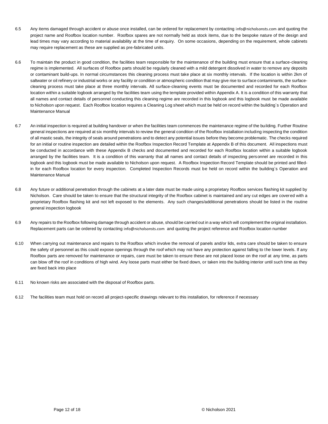- 6.5 Any items damaged through accident or abuse once installed, can be ordered for replacement by contacting [info@nicholsonsts.com](mailto:info@nicholsonsts.com) and quoting the project name and Roofbox location number. Roofbox spares are not normally held as stock items, due to the bespoke nature of the design and lead times may vary according to material availability at the time of enquiry. On some occasions, depending on the requirement, whole cabinets may require replacement as these are supplied as pre-fabricated units.
- 6.6 To maintain the product in good condition, the facilities team responsible for the maintenance of the building must ensure that a surface-cleaning regime is implemented. All surfaces of Roofbox parts should be regularly cleaned with a mild detergent dissolved in water to remove any deposits or contaminant build-ups. In normal circumstances this cleaning process must take place at six monthly intervals. If the location is within 2km of saltwater or oil refinery or industrial works or any facility or condition or atmospheric condition that may give rise to surface contaminants, the surfacecleaning process must take place at three monthly intervals. All surface-cleaning events must be documented and recorded for each Roofbox location within a suitable logbook arranged by the facilities team using the template provided within Appendix A. It is a condition of this warranty that all names and contact details of personnel conducting this cleaning regime are recorded in this logbook and this logbook must be made available to Nicholson upon request. Each Roofbox location requires a Cleaning Log sheet which must be held on record within the building`s Operation and Maintenance Manual
- 6.7 An initial inspection is required at building handover or when the facilities team commences the maintenance regime of the building. Further Routine general inspections are required at six monthly intervals to review the general condition of the Roofbox installation including inspecting the condition of all mastic seals, the integrity of seals around penetrations and to detect any potential issues before they become problematic. The checks required for an initial or routine inspection are detailed within the Roofbox Inspection Record Template at Appendix B of this document. All inspections must be conducted in accordance with these Appendix B checks and documented and recorded for each Roofbox location within a suitable logbook arranged by the facilities team. It is a condition of this warranty that all names and contact details of inspecting personnel are recorded in this logbook and this logbook must be made available to Nicholson upon request. A Roofbox Inspection Record Template should be printed and filledin for each Roofbox location for every inspection. Completed Inspection Records must be held on record within the building's Operation and Maintenance Manual
- 6.8 Any future or additional penetration through the cabinets at a later date must be made using a proprietary Roofbox services flashing kit supplied by Nicholson. Care should be taken to ensure that the structural integrity of the Roofbox cabinet is maintained and any cut edges are covered with a proprietary Roofbox flashing kit and not left exposed to the elements. Any such changes/additional penetrations should be listed in the routine general inspection logbook
- 6.9 Any repairs to the Roofbox following damage through accident or abuse, should be carried out in a way which will complement the original installation. Replacement parts can be ordered by contacting [info@nicholsonsts.com](mailto:info@nicholsonsts.com) and quoting the project reference and Roofbox location number
- 6.10 When carrying out maintenance and repairs to the Roofbox which involve the removal of panels and/or lids, extra care should be taken to ensure the safety of personnel as this could expose openings through the roof which may not have any protection against falling to the lower levels. If any Roofbox parts are removed for maintenance or repairs, care must be taken to ensure these are not placed loose on the roof at any time, as parts can blow off the roof in conditions of high wind. Any loose parts must either be fixed down, or taken into the building interior until such time as they are fixed back into place
- 6.11 No known risks are associated with the disposal of Roofbox parts.
- 6.12 The facilities team must hold on record all project-specific drawings relevant to this installation, for reference if necessary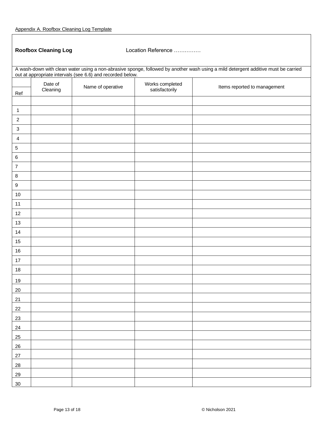Roofbox Cleaning Log **Location Reference ……………** 

| A wash-down with clean water using a non-abrasive sponge, followed by another wash using a mild detergent additive must be carried out at appropriate intervals (see 6.6) and recorded below. |          |                   |                                   |                              |
|-----------------------------------------------------------------------------------------------------------------------------------------------------------------------------------------------|----------|-------------------|-----------------------------------|------------------------------|
|                                                                                                                                                                                               | Date of  |                   |                                   |                              |
| Ref                                                                                                                                                                                           | Cleaning | Name of operative | Works completed<br>satisfactorily | Items reported to management |
|                                                                                                                                                                                               |          |                   |                                   |                              |
| $\mathbf{1}$                                                                                                                                                                                  |          |                   |                                   |                              |
| $\sqrt{2}$                                                                                                                                                                                    |          |                   |                                   |                              |
| $\ensuremath{\mathsf{3}}$                                                                                                                                                                     |          |                   |                                   |                              |
| 4                                                                                                                                                                                             |          |                   |                                   |                              |
| $\,$ 5 $\,$                                                                                                                                                                                   |          |                   |                                   |                              |
| $\,6$                                                                                                                                                                                         |          |                   |                                   |                              |
| $\boldsymbol{7}$                                                                                                                                                                              |          |                   |                                   |                              |
| $\bf 8$                                                                                                                                                                                       |          |                   |                                   |                              |
| $\boldsymbol{9}$                                                                                                                                                                              |          |                   |                                   |                              |
| $10$                                                                                                                                                                                          |          |                   |                                   |                              |
| 11                                                                                                                                                                                            |          |                   |                                   |                              |
| 12                                                                                                                                                                                            |          |                   |                                   |                              |
| 13                                                                                                                                                                                            |          |                   |                                   |                              |
| 14                                                                                                                                                                                            |          |                   |                                   |                              |
| 15                                                                                                                                                                                            |          |                   |                                   |                              |
| $16\,$                                                                                                                                                                                        |          |                   |                                   |                              |
| $17\,$                                                                                                                                                                                        |          |                   |                                   |                              |
| 18                                                                                                                                                                                            |          |                   |                                   |                              |
| 19                                                                                                                                                                                            |          |                   |                                   |                              |
| $20\,$                                                                                                                                                                                        |          |                   |                                   |                              |
| 21                                                                                                                                                                                            |          |                   |                                   |                              |
| 22                                                                                                                                                                                            |          |                   |                                   |                              |
| 23                                                                                                                                                                                            |          |                   |                                   |                              |
| 24                                                                                                                                                                                            |          |                   |                                   |                              |
| 25                                                                                                                                                                                            |          |                   |                                   |                              |
| $26\,$                                                                                                                                                                                        |          |                   |                                   |                              |
| $27\,$                                                                                                                                                                                        |          |                   |                                   |                              |
| 28                                                                                                                                                                                            |          |                   |                                   |                              |
| 29                                                                                                                                                                                            |          |                   |                                   |                              |
| $30\,$                                                                                                                                                                                        |          |                   |                                   |                              |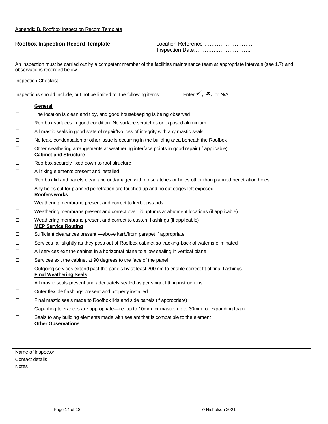$\mathsf{r}$ 

|        | <b>Roofbox Inspection Record Template</b><br>Location Reference                                                                                                   |  |
|--------|-------------------------------------------------------------------------------------------------------------------------------------------------------------------|--|
|        |                                                                                                                                                                   |  |
|        | An inspection must be carried out by a competent member of the facilities maintenance team at appropriate intervals (see 1.7) and<br>observations recorded below. |  |
|        | <b>Inspection Checklist</b>                                                                                                                                       |  |
|        | Enter $\checkmark$ , $\checkmark$ , or N/A<br>Inspections should include, but not be limited to, the following items:                                             |  |
|        | <b>General</b>                                                                                                                                                    |  |
| $\Box$ | The location is clean and tidy, and good housekeeping is being observed                                                                                           |  |
| $\Box$ | Roofbox surfaces in good condition. No surface scratches or exposed aluminium                                                                                     |  |
| $\Box$ | All mastic seals in good state of repair/No loss of integrity with any mastic seals                                                                               |  |
| □      | No leak, condensation or other issue is occurring in the building area beneath the Roofbox                                                                        |  |
| $\Box$ | Other weathering arrangements at weathering interface points in good repair (if applicable)<br><b>Cabinet and Structure</b>                                       |  |
| $\Box$ | Roofbox securely fixed down to roof structure                                                                                                                     |  |
| ⊔      | All fixing elements present and installed                                                                                                                         |  |
| $\Box$ | Roofbox lid and panels clean and undamaged with no scratches or holes other than planned penetration holes                                                        |  |
| $\Box$ | Any holes cut for planned penetration are touched up and no cut edges left exposed<br>Roofers works                                                               |  |
| $\Box$ | Weathering membrane present and correct to kerb upstands                                                                                                          |  |
| $\Box$ | Weathering membrane present and correct over lid upturns at abutment locations (if applicable)                                                                    |  |
| $\Box$ | Weathering membrane present and correct to custom flashings (if applicable)<br><b>MEP Service Routing</b>                                                         |  |
| $\Box$ | Sufficient clearances present -above kerb/from parapet if appropriate                                                                                             |  |
| $\Box$ | Services fall slightly as they pass out of Roofbox cabinet so tracking-back of water is eliminated                                                                |  |
| $\Box$ | All services exit the cabinet in a horizontal plane to allow sealing in vertical plane                                                                            |  |
| $\Box$ | Services exit the cabinet at 90 degrees to the face of the panel                                                                                                  |  |
| □      | Outgoing services extend past the panels by at least 200mm to enable correct fit of final flashings<br><b>Final Weathering Seals</b>                              |  |
| $\Box$ | All mastic seals present and adequately sealed as per spigot fitting instructions                                                                                 |  |
| $\Box$ | Outer flexible flashings present and properly installed                                                                                                           |  |
| $\Box$ | Final mastic seals made to Roofbox lids and side panels (if appropriate)                                                                                          |  |
| □      | Gap-filling tolerances are appropriate—i.e. up to 10mm for mastic, up to 30mm for expanding foam                                                                  |  |
| $\Box$ | Seals to any building elements made with sealant that is compatible to the element<br><b>Other Observations</b>                                                   |  |
|        |                                                                                                                                                                   |  |
|        |                                                                                                                                                                   |  |
|        | Name of inspector                                                                                                                                                 |  |
|        | Contact details                                                                                                                                                   |  |
| Notes  |                                                                                                                                                                   |  |
|        |                                                                                                                                                                   |  |
|        |                                                                                                                                                                   |  |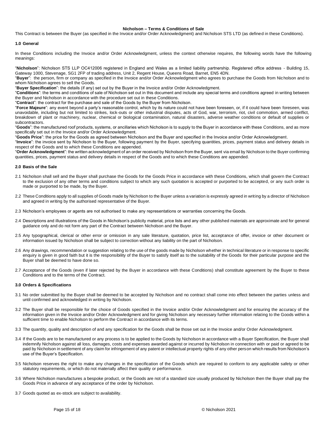# **Nicholson – Terms & Conditions of Sale**

This Contract is between the Buyer (as specified in the Invoice and/or Order Acknowledgment) and Nicholson STS LTD (as defined in these Conditions).

# **1.0 General**

In these Conditions including the Invoice and/or Order Acknowledgment, unless the context otherwise requires, the following words have the following meanings:

"**Nicholson**": Nicholson STS LLP OC412006 registered in England and Wales as a limited liability partnership. Registered office address - Building 15, Gateway 1000, Stevenage, SG1 2FP of trading address, Unit 2, Regent House, Queens Road, Barnet, EN5 4DN.

"**Buyer**": the person, firm or company as specified in the Invoice and/or Order Acknowledgment who agrees to purchase the Goods from Nicholson and to whom Nicholson agrees to sell the Goods.

"**Buyer Specification**": the details (if any) set out by the Buyer in the Invoice and/or Order Acknowledgment.

"**Conditions**": the terms and conditions of sale of Nicholson set out in this document and include any special terms and conditions agreed in writing between the Buyer and Nicholson in accordance with the procedure set out in these Conditions.

"**Contract**": the contract for the purchase and sale of the Goods by the Buyer from Nicholson.

"**Force Majeure**": any event beyond a party's reasonable control, which by its nature could not have been foreseen, or, if it could have been foreseen, was unavoidable, including but not limited to strikes, lock-outs or other industrial disputes, acts of God, war, terrorism, riot, civil commotion, armed conflict, breakdown of plant or machinery, nuclear, chemical or biological contamination, natural disasters, adverse weather conditions or default of supplies or subcontractors.

"**Goods**": the manufactured roof products, systems, or ancillaries which Nicholson is to supply to the Buyer in accordance with these Conditions, and as more specifically set out in the Invoice and/or Order Acknowledgment.

"**Goods Price**": the price for the Goods as agreed between Nicholson and the Buyer and specified in the Invoice and/or Order Acknowledgment.

"**Invoice**": the invoice sent by Nicholson to the Buyer, following payment by the Buyer, specifying quantities, prices, payment status and delivery details in respect of the Goods and to which these Conditions are appended.

"**Order Acknowledgment**": the written acknowledgment of an order received by Nicholson from the Buyer, sent via email by Nicholson to the Buyer confirming quantities, prices, payment status and delivery details in respect of the Goods and to which these Conditions are appended.

# **2.0 Basis of the Sale**

- 2.1 Nicholson shall sell and the Buyer shall purchase the Goods for the Goods Price in accordance with these Conditions, which shall govern the Contract to the exclusion of any other terms and conditions subject to which any such quotation is accepted or purported to be accepted, or any such order is made or purported to be made, by the Buyer.
- 2.2 These Conditions apply to all supplies of Goods made by Nicholson to the Buyer unless a variation is expressly agreed in writing by a director of Nicholson and agreed in writing by the authorised representative of the Buyer.
- 2.3 Nicholson's employees or agents are not authorised to make any representations or warranties concerning the Goods.
- 2.4 Descriptions and illustrations of the Goods in Nicholson's publicity material, price lists and any other published materials are approximate and for general guidance only and do not form any part of the Contract between Nicholson and the Buyer.
- 2.5 Any typographical, clerical or other error or omission in any sale literature, quotation, price list, acceptance of offer, invoice or other document or information issued by Nicholson shall be subject to correction without any liability on the part of Nicholson.
- 2.6 Any drawings, recommendation or suggestion relating to the use of the goods made by Nicholson whether in technical literature or in response to specific enquiry is given in good faith but it is the responsibility of the Buyer to satisfy itself as to the suitability of the Goods for their particular purpose and the Buyer shall be deemed to have done so.
- 2.7 Acceptance of the Goods (even if later rejected by the Buyer in accordance with these Conditions) shall constitute agreement by the Buyer to these Conditions and to the terms of the Contract.

## **3.0 Orders & Specifications**

- 3.1 No order submitted by the Buyer shall be deemed to be accepted by Nicholson and no contract shall come into effect between the parties unless and until confirmed and acknowledged in writing by Nicholson.
- 3.2 The Buyer shall be responsible for the choice of Goods specified in the Invoice and/or Order Acknowledgment and for ensuring the accuracy of the information given in the Invoice and/or Order Acknowledgment and for giving Nicholson any necessary further information relating to the Goods within a sufficient time to enable Nicholson to perform the Contract in accordance with its terms.
- 3.3 The quantity, quality and description of and any specification for the Goods shall be those set out in the Invoice and/or Order Acknowledgment.
- 3.4 If the Goods are to be manufactured or any process is to be applied to the Goods by Nicholson in accordance with a Buyer Specification, the Buyer shall indemnify Nicholson against all loss, damages, costs and expenses awarded against or incurred by Nicholson in connection with or paid or agreed to be paid by Nicholson in settlement of any claim for infringement of any patent or intellectual property rights of any other person which results from Nicholson's use of the Buyer's Specification.
- 3.5 Nicholson reserves the right to make any changes in the specification of the Goods which are required to conform to any applicable safety or other statutory requirements, or which do not materially affect their quality or performance.
- 3.6 Where Nicholson manufactures a bespoke product, or the Goods are not of a standard size usually produced by Nicholson then the Buyer shall pay the Goods Price in advance of any acceptance of the order by Nicholson.
- 3.7 Goods quoted as ex-stock are subject to availability.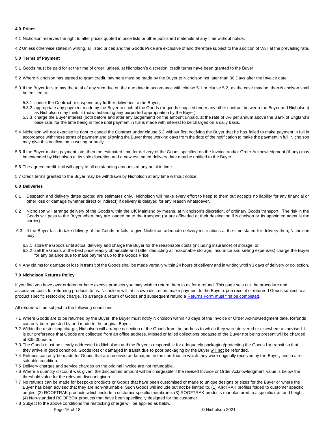# **4.0 Prices**

4.1 Nicholson reserves the right to alter prices quoted in price lists or other published materials at any time without notice.

4.2 Unless otherwise stated in writing, all listed prices and the Goods Price are exclusive of and therefore subject to the addition of VAT at the prevailing rate.

# **5.0 Terms of Payment**

- 5.1 Goods must be paid for at the time of order, unless, at Nicholson's discretion, credit terms have been granted to the Buyer.
- 5.2 Where Nicholson has agreed to grant credit, payment must be made by the Buyer to Nicholson not later than 30 Days after the invoice date.
- 5.3 If the Buyer fails to pay the total of any sum due on the due date in accordance with clause 5.1 or clause 5.2, as the case may be, then Nicholson shall be entitled to:
	- 5.3.1 cancel the Contract or suspend any further deliveries to the Buyer;
	- 5.3.2 appropriate any payment made by the Buyer to such of the Goods (or goods supplied under any other contract between the Buyer and Nicholson) as Nicholson may think fit (notwithstanding any purported appropriation by the Buyer);
	- 5.3.3 charge the Buyer interest (both before and after any judgement) on the amount unpaid, at the rate of 8% per annum above the Bank of England's base rate, for the time being in force until payment in full is made with interest to be charged on a daily basis.
- 5.4 Nicholson will not exercise its right to cancel the Contract under clause 5.3 without first notifying the Buyer that he has failed to make payment in full in accordance with these terms of payment and allowing the Buyer three working days from the date of the notification to make the payment in full. Nicholson may give this notification in writing or orally.
- 5.5 If the Buyer makes payment late, then the estimated time for delivery of the Goods specified on the Invoice and/or Order Acknowledgment (if any) may be extended by Nicholson at its sole discretion and a new estimated delivery date may be notified to the Buyer.
- 5.6 The agreed credit limit will apply to all outstanding amounts at any point in time.
- 5.7 Credit terms granted to the Buyer may be withdrawn by Nicholson at any time without notice.

# **6.0 Deliveries**

- 6.1 Despatch and delivery dates quoted are estimates only. Nicholson will make every effort to keep to them but accepts no liability for any financial or other loss or damage (whether direct or indirect) if delivery is delayed for any reason whatsoever.
- 6.2 Nicholson will arrange delivery of the Goods within the UK Mainland by means, at Nicholson's discretion, of ordinary Goods transport. The risk in the Goods will pass to the Buyer when they are loaded on to the transport (or are offloaded at their destination if Nicholson or its appointed agent is the carrier).
- 6.3 If the Buyer fails to take delivery of the Goods or fails to give Nicholson adequate delivery instructions at the time stated for delivery then, Nicholson may:
	- 6.3.1 store the Goods until actual delivery and charge the Buyer for the reasonable costs (including insurance) of storage; or
	- 6.3.2 sell the Goods at the best price readily obtainable and (after deducting all reasonable storage, insurance and selling expenses) charge the Buyer for any balance due to make payment up to the Goods Price.
- 6.4 Any claims for damage or loss in transit of the Goods shall be made verbally within 24 hours of delivery and in writing within 3 days of delivery or collection.

# **7.0 Nicholson Returns Policy**

If you find you have over ordered or have excess products you may wish to return them to us for a refund. This page sets out the procedure and associated costs for returning products to us. Nicholson will, at its own discretion, make payment to the Buyer upon receipt of returned Goods subject to a product specific restocking charge. To arrange a return of Goods and subsequent refund a [Returns Form must first be completed.](https://www.nicholsonsts.com/returns-request)

All returns will be subject to the following conditions.

- 7.1 Where Goods are to be returned by the Buyer, the Buyer must notify Nicholson within 40 days of the Invoice or Order Acknowledgment date. Refunds can only be requested by and made to the original Buyer.
- 7.2 Within the restocking charge, Nicholson will arrange collection of the Goods from the address to which they were delivered or elsewhere as advised. It is our preference that Goods are collected from an office address. Missed or failed collections because of the Buyer not being present will be charged at £35.00 each.
- 7.3 The Goods must be clearly addressed to Nicholson and the Buyer is responsible for adequately packaging/protecting the Goods for transit so that they arrive in good condition. Goods lost or damaged in transit due to poor packaging by the Buyer will not be refunded.
- 7.4 Refunds can only be made for Goods that are received undamaged, in the condition in which they were originally received by the Buyer, and in a resaleable condition.
- 7.5 Delivery charges and service charges on the original invoice are not refundable.
- 7.6 Where a quantity discount was given, the discounted amount will be chargeable if the revised Invoice or Order Acknowledgment value is below the threshold value for the relevant discount given.
- 7.7 No refunds can be made for bespoke products or Goods that have been customised or made to unique designs or sizes for the Buyer or where the Buyer has been advised that they are non-returnable. Such Goods will include but not be limited to. (1) AIRTRAK profiles folded to customer specific angles, (2) ROOFTRAK products which include a customer specific membrane. (3) ROOFTRAK products manufactured to a specific upstand height. (4) Non-standard ROOFBOX products that have been specifically designed for the customer.
- 7.8 Subject to the above conditions the restocking charge will be applied as below.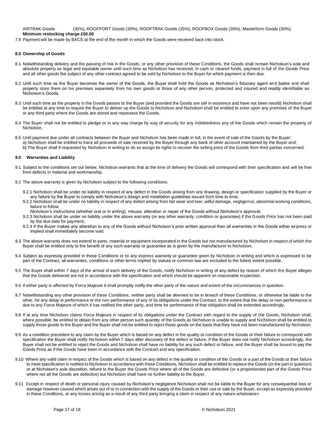AIRTRAK Goods (30%), ROOFPORT Goods (30%), ROOFTRAK Goods (35%), ROOFBOX Goods (35%), Masterform Goods (30%). **Minimum restocking charge £50.00**

7.9 Payment will be made by BACS at the end of the month in which the Goods were received back into stock.

# **8.0 Ownership of Goods**

- 8.1 Notwithstanding delivery and the passing of risk in the Goods, or any other provision of these Conditions, the Goods shall remain Nicholson's sole and absolute property as legal and equitable owner until such time as Nicholson has received, in cash or cleared funds, payment in full of the Goods Price and all other goods the subject of any other contract agreed to be sold by Nicholson to the Buyer for which payment is then due.
- 8.2 Until such time as the Buyer becomes the owner of the Goods, the Buyer shall hold the Goods as Nicholson's fiduciary agent and bailee and shall properly store them on his premises separately from his own goods or those of any other person, protected and insured and readily identifiable as Nicholson's Goods.
- 8.3 Until such time as the property in the Goods passes to the Buyer (and provided the Goods are still in existence and have not been resold) Nicholson shall be entitled at any time to require the Buyer to deliver up the Goods to Nicholson and Nicholson shall be entitled to enter upon any premises of the Buyer or any third party where the Goods are stored and repossess the Goods.
- 8.4 The Buyer shall not be entitled to pledge or in any way charge by way of security for any indebtedness any of the Goods which remain the property of Nicholson.
- 8.5 Until payment due under all contracts between the Buyer and Nicholson has been made in full, in the event of sale of the Goods by the Buyer: a) Nicholson shall be entitled to trace all proceeds of sale received by the Buyer through any bank of other account maintained by the Buyer and:
- b) The Buyer shall if requested by Nicholson in writing to do so assign its rights to recover the selling price of the Goods from third parties concerned.

### **9.0 Warranties and Liability**

- 9.1 Subject to the conditions set out below, Nicholson warrants that at the time of delivery the Goods will correspond with their specification and will be free from defects in material and workmanship.
- 9.2 The above warranty is given by Nicholson subject to the following conditions:
	- 9.2.1 Nicholson shall be under no liability in respect of any defect in the Goods arising from any drawing, design or specification supplied by the Buyer or any failure by the Buyer to comply with Nicholson's design and installation guidelines issued from time to time;
	- 9.2.2 Nicholson shall be under no liability in respect of any defect arising from fair wear and tear, wilful damage, negligence, abnormal working conditions, failure to follow
	- Nicholson's instructions (whether oral or in writing), misuse, alteration or repair of the Goods without Nicholson's approval;
	- 9.2.3 Nicholson shall be under no liability under the above warranty (or any other warranty, condition or guarantee) if the Goods Price has not been paid by the due date for payment;
	- 9.2.4 If the Buyer makes any alteration to any of the Goods without Nicholson's prior written approval then all warranties in the Goods either ex press or implied shall immediately become void.
- 9.3 The above warranty does not extend to parts, material or equipment incorporated in the Goods but not manufactured by Nicholson in respect of which the Buyer shall be entitled only to the benefit of any such warranty or guarantee as is given by the manufacturer to Nicholson.
- 9.4 Subject as expressly provided in these Conditions or to any express warranty or guarantee given by Nicholson in writing and which is expressed to be part of the Contract, all warranties, conditions or other terms implied by statute or common law are excluded to the fullest extent possible.
- 9.5 The Buyer shall within 7 days of the arrival of each delivery of the Goods, notify Nicholson in writing of any defect by reason of which the Buyer alleges that the Goods delivered are not in accordance with the specification and which should be apparent on reasonable inspection.
- 9.6 If either party is affected by Force Majeure it shall promptly notify the other party of the nature and extent of the circumstances in question.
- 9.7 Notwithstanding any other provision of these Conditions, neither party shall be deemed to be in breach of these Conditions, or otherwise be liable to the other, for any delay in performance or the non-performance of any of its obligations under the Contract, to the extent that the delay or non-performance is due to any Force Majeure of which it has notified the other party, and time for performance of that obligation shall be extended accordingly.
- 9.8 If at any time Nicholson claims Force Majeure in respect of its obligations under the Contract with regard to the supply of the Goods, Nicholson shall, where possible, be entitled to obtain from any other person such quantity of the Goods as Nicholson is unable to supply and Nicholson shall be entitled to supply those goods to the Buyer and the Buyer shall not be entitled to reject those goods on the basis that they have not been manufactured by Nicholson.
- 9.9 As a condition precedent to any claim by the Buyer which is based on any defect in the quality or condition of the Goods or their failure to correspond with specification the Buyer shall notify Nicholson within 7 days after discovery of the defect or failure. If the Buyer does not notify Nicholson accordingly, the Buyer shall not be entitled to reject the Goods and Nicholson shall have no liability for any such defect or failure, and the Buyer shall be bound to pay the Goods Price as if the Goods have been in accordance with the Contract and any specification.
- 9.10 Where any valid claim in respect of the Goods which is based on any defect in the quality or condition of the Goods or a part of the Goods or their failure to meet specification is notified to Nicholson in accordance with these Conditions, Nicholson shall be entitled to replace the Goods (or the part in question) or at Nicholson's sole discretion, refund to the Buyer the Goods Price where all of the Goods are defective (or a proportionate part of the Goods Price where not all the Goods are defective) but Nicholson shall have no further liability to the Buyer.
- 9.11 Except in respect of death or personal injury caused by Nicholson's negligence Nicholson shall not be liable to the Buyer for any consequential loss or damage however caused which arises out of or in connection with the supply of the Goods or their use or sale by the Buyer, except as expressly provided in these Conditions, or any losses arising as a result of any third party bringing a claim in respect of any nature whatsoever.